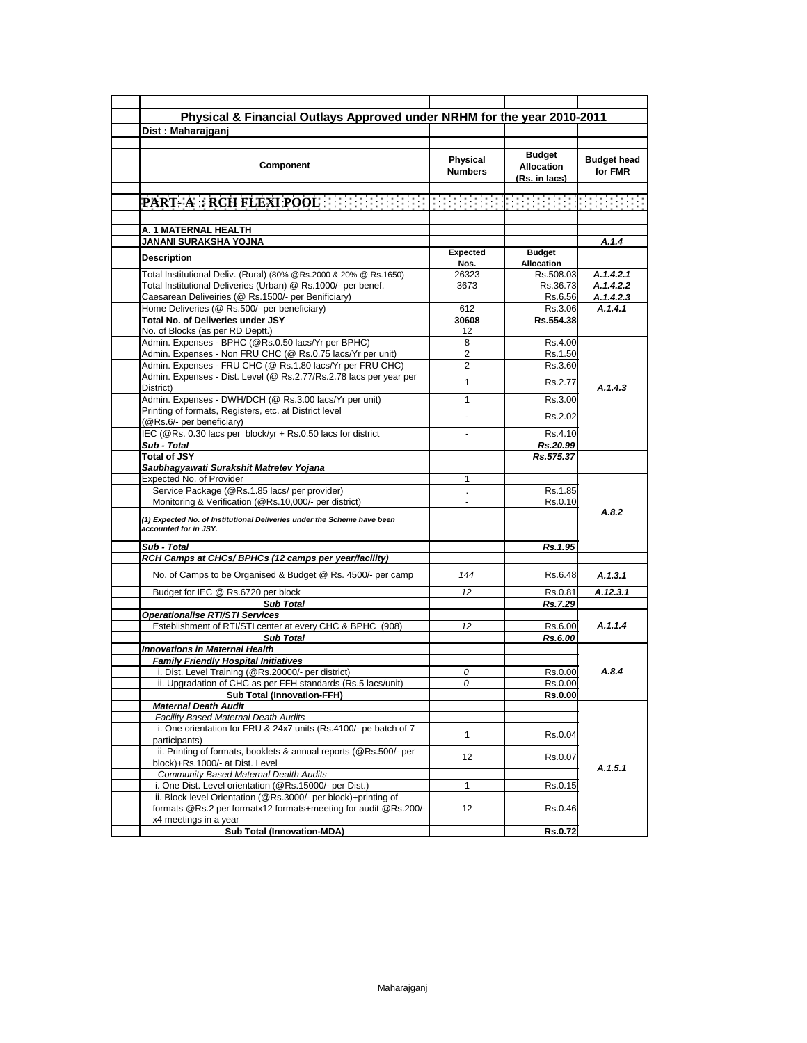| Physical & Financial Outlays Approved under NRHM for the year 2010-2011                                                           |                            |                                                     |                               |
|-----------------------------------------------------------------------------------------------------------------------------------|----------------------------|-----------------------------------------------------|-------------------------------|
|                                                                                                                                   |                            |                                                     |                               |
| Dist: Maharajgani                                                                                                                 |                            |                                                     |                               |
| Component                                                                                                                         | Physical<br><b>Numbers</b> | <b>Budget</b><br><b>Allocation</b><br>(Rs. in lacs) | <b>Budget head</b><br>for FMR |
|                                                                                                                                   |                            |                                                     |                               |
| PART A RCH FLEXI POOL EN ENDED EN ENDED EN ENDED                                                                                  |                            |                                                     | ha an am a                    |
|                                                                                                                                   |                            |                                                     |                               |
| A. 1 MATERNAL HEALTH                                                                                                              |                            |                                                     |                               |
| JANANI SURAKSHA YOJNA                                                                                                             |                            |                                                     | A.1.4                         |
|                                                                                                                                   | <b>Expected</b>            | <b>Budget</b>                                       |                               |
| <b>Description</b>                                                                                                                | Nos.                       | Allocation                                          |                               |
| Total Institutional Deliv. (Rural) (80% @Rs.2000 & 20% @ Rs.1650)                                                                 | 26323                      | Rs.508.03                                           | A.1.4.2.1                     |
| Total Institutional Deliveries (Urban) @ Rs.1000/- per benef.                                                                     | 3673                       | Rs.36.73                                            | A.1.4.2.2                     |
| Caesarean Deliveiries (@ Rs.1500/- per Benificiary)                                                                               |                            | Rs.6.56                                             | A.1.4.2.3                     |
| Home Deliveries (@ Rs.500/- per beneficiary)                                                                                      | 612                        | Rs.3.06                                             | A.1.4.1                       |
| Total No. of Deliveries under JSY                                                                                                 | 30608                      | Rs.554.38                                           |                               |
| No. of Blocks (as per RD Deptt.)                                                                                                  | 12                         |                                                     |                               |
| Admin. Expenses - BPHC (@Rs.0.50 lacs/Yr per BPHC)                                                                                | 8                          | Rs.4.00                                             |                               |
| Admin. Expenses - Non FRU CHC (@ Rs.0.75 lacs/Yr per unit)                                                                        | 2                          | Rs.1.50                                             |                               |
| Admin. Expenses - FRU CHC (@ Rs.1.80 lacs/Yr per FRU CHC)                                                                         | $\overline{2}$             | Rs.3.60                                             |                               |
| Admin. Expenses - Dist. Level (@ Rs.2.77/Rs.2.78 lacs per year per<br>District)                                                   | 1                          | Rs.2.77                                             | A.1.4.3                       |
| Admin. Expenses - DWH/DCH (@ Rs.3.00 lacs/Yr per unit)                                                                            | 1                          | Rs.3.00                                             |                               |
| Printing of formats, Registers, etc. at District level<br>(@Rs.6/- per beneficiary)                                               |                            | Rs.2.02                                             |                               |
| IEC (@Rs. 0.30 lacs per block/yr + Rs.0.50 lacs for district                                                                      |                            | Rs.4.10                                             |                               |
| Sub - Total                                                                                                                       |                            | Rs.20.99                                            |                               |
| <b>Total of JSY</b>                                                                                                               |                            | Rs.575.37                                           |                               |
| Saubhagyawati Surakshit Matretev Yojana                                                                                           |                            |                                                     |                               |
| Expected No. of Provider                                                                                                          | 1                          |                                                     |                               |
| Service Package (@Rs.1.85 lacs/ per provider)                                                                                     |                            | Rs.1.85                                             |                               |
| Monitoring & Verification (@Rs.10,000/- per district)                                                                             | $\blacksquare$             | Rs.0.10                                             | A.8.2                         |
| (1) Expected No. of Institutional Deliveries under the Scheme have been<br>accounted for in JSY.                                  |                            |                                                     |                               |
| Sub - Total                                                                                                                       |                            | Rs.1.95                                             |                               |
| RCH Camps at CHCs/ BPHCs (12 camps per year/facility)                                                                             |                            |                                                     |                               |
| No. of Camps to be Organised & Budget @ Rs. 4500/- per camp                                                                       | 144                        | Rs.6.48                                             | A.1.3.1                       |
| Budget for IEC @ Rs.6720 per block                                                                                                | 12                         | Rs.0.81                                             | A.12.3.1                      |
| <b>Sub Total</b>                                                                                                                  |                            | Rs.7.29                                             |                               |
| <b>Operationalise RTI/STI Services</b>                                                                                            |                            |                                                     |                               |
| Esteblishment of RTI/STI center at every CHC & BPHC (908)                                                                         | 12                         | Rs.6.00                                             | A.1.1.4                       |
| <b>Sub Total</b>                                                                                                                  |                            | Rs.6.00                                             |                               |
| <b>Innovations in Maternal Health</b>                                                                                             |                            |                                                     |                               |
| <b>Family Friendly Hospital Initiatives</b>                                                                                       |                            |                                                     |                               |
| i. Dist. Level Training (@Rs.20000/- per district)                                                                                | 0                          | Rs.0.00                                             | A.8.4                         |
| ii. Upgradation of CHC as per FFH standards (Rs.5 lacs/unit)                                                                      | $\overline{O}$             | Rs.0.00                                             |                               |
| <b>Sub Total (Innovation-FFH)</b>                                                                                                 |                            | <b>Rs.0.00</b>                                      |                               |
| <b>Maternal Death Audit</b>                                                                                                       |                            |                                                     |                               |
| Facility Based Maternal Death Audits                                                                                              |                            |                                                     |                               |
| i. One orientation for FRU & 24x7 units (Rs.4100/- pe batch of 7<br>participants)                                                 | $\mathbf{1}$               | Rs.0.04                                             |                               |
| ii. Printing of formats, booklets & annual reports (@Rs.500/- per<br>block)+Rs.1000/- at Dist. Level                              | 12                         | Rs.0.07                                             |                               |
| <b>Community Based Maternal Dealth Audits</b>                                                                                     |                            |                                                     | A.1.5.1                       |
| i. One Dist. Level orientation (@Rs.15000/- per Dist.)                                                                            | 1                          | Rs.0.15                                             |                               |
| ii. Block level Orientation (@Rs.3000/- per block)+printing of<br>formats @Rs.2 per formatx12 formats+meeting for audit @Rs.200/- | 12                         | Rs.0.46                                             |                               |
| x4 meetings in a year                                                                                                             |                            |                                                     |                               |
| <b>Sub Total (Innovation-MDA)</b>                                                                                                 |                            | Rs.0.72                                             |                               |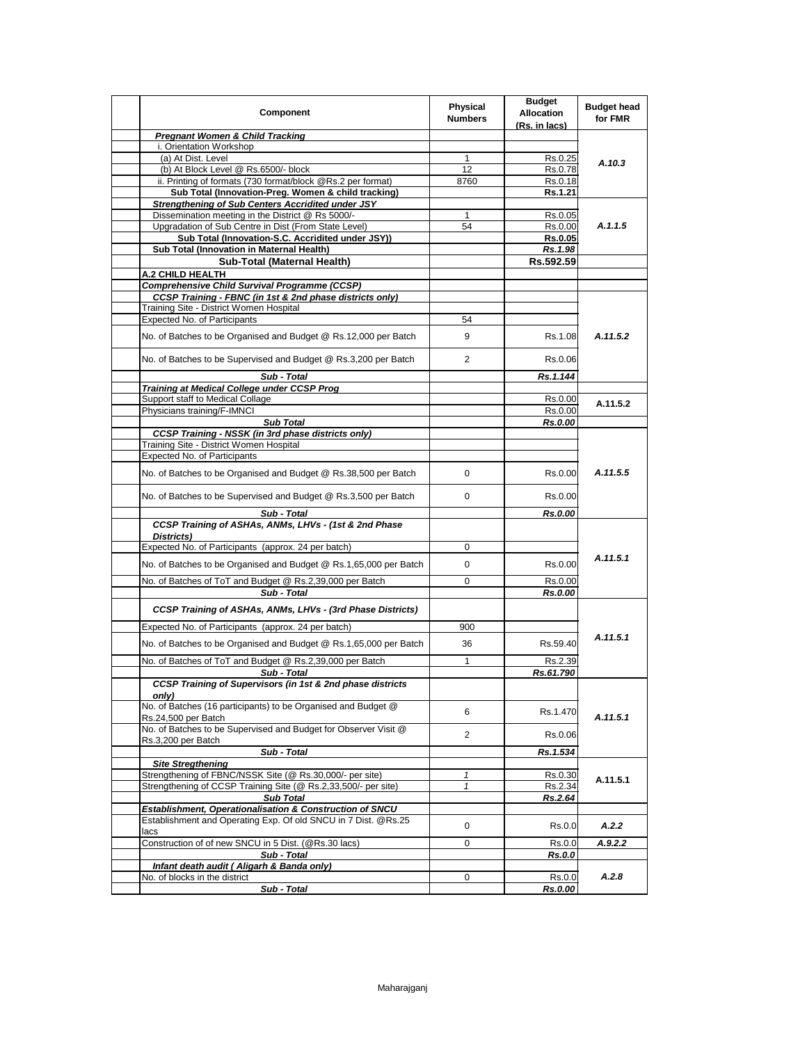| Component                                                                                            | <b>Physical</b><br><b>Numbers</b> | <b>Budget</b><br><b>Allocation</b><br>(Rs. in lacs) | <b>Budget head</b><br>for FMR |
|------------------------------------------------------------------------------------------------------|-----------------------------------|-----------------------------------------------------|-------------------------------|
| <b>Pregnant Women &amp; Child Tracking</b>                                                           |                                   |                                                     |                               |
| i. Orientation Workshop                                                                              |                                   |                                                     |                               |
| (a) At Dist. Level                                                                                   | $\mathbf{1}$                      | Rs.0.25                                             | A.10.3                        |
| (b) At Block Level @ Rs.6500/- block                                                                 | 12                                | Rs.0.78                                             |                               |
| ii. Printing of formats (730 format/block @Rs.2 per format)                                          | 8760                              | Rs.0.18                                             |                               |
| Sub Total (Innovation-Preg. Women & child tracking)                                                  |                                   | Rs.1.21                                             |                               |
| <b>Strengthening of Sub Centers Accridited under JSY</b>                                             |                                   |                                                     |                               |
| Dissemination meeting in the District @ Rs 5000/-                                                    | $\mathbf{1}$                      | Rs.0.05                                             |                               |
| Upgradation of Sub Centre in Dist (From State Level)                                                 | 54                                | Rs.0.00                                             | A.1.1.5                       |
| Sub Total (Innovation-S.C. Accridited under JSY))                                                    |                                   | <b>Rs.0.05</b>                                      |                               |
| Sub Total (Innovation in Maternal Health)                                                            |                                   | Rs.1.98                                             |                               |
| Sub-Total (Maternal Health)                                                                          |                                   | Rs.592.59                                           |                               |
| A.2 CHILD HEALTH                                                                                     |                                   |                                                     |                               |
| <b>Comprehensive Child Survival Programme (CCSP)</b>                                                 |                                   |                                                     |                               |
| CCSP Training - FBNC (in 1st & 2nd phase districts only)                                             |                                   |                                                     |                               |
| Training Site - District Women Hospital<br><b>Expected No. of Participants</b>                       | 54                                |                                                     |                               |
|                                                                                                      |                                   |                                                     |                               |
| No. of Batches to be Organised and Budget @ Rs.12,000 per Batch                                      | 9                                 | Rs.1.08                                             | A.11.5.2                      |
| No. of Batches to be Supervised and Budget @ Rs.3,200 per Batch                                      | 2                                 | Rs.0.06                                             |                               |
| Sub - Total                                                                                          |                                   | Rs.1.144                                            |                               |
| <b>Training at Medical College under CCSP Prog</b>                                                   |                                   |                                                     |                               |
| Support staff to Medical Collage                                                                     |                                   | Rs.0.00                                             | A.11.5.2                      |
| Physicians training/F-IMNCI                                                                          |                                   | Rs.0.00                                             |                               |
| <b>Sub Total</b>                                                                                     |                                   | Rs.0.00                                             |                               |
| <b>CCSP Training - NSSK (in 3rd phase districts only)</b><br>Training Site - District Women Hospital |                                   |                                                     |                               |
| Expected No. of Participants                                                                         |                                   |                                                     |                               |
| No. of Batches to be Organised and Budget @ Rs.38,500 per Batch                                      | 0                                 | Rs.0.00                                             | A.11.5.5                      |
| No. of Batches to be Supervised and Budget @ Rs.3,500 per Batch                                      | 0                                 | Rs.0.00                                             |                               |
|                                                                                                      |                                   |                                                     |                               |
| Sub - Total<br>CCSP Training of ASHAs, ANMs, LHVs - (1st & 2nd Phase                                 |                                   | Rs.0.00                                             |                               |
|                                                                                                      |                                   |                                                     |                               |
| Districts)<br>Expected No. of Participants (approx. 24 per batch)                                    | 0                                 |                                                     |                               |
|                                                                                                      |                                   |                                                     | A.11.5.1                      |
| No. of Batches to be Organised and Budget @ Rs.1,65,000 per Batch                                    | 0                                 | Rs.0.00                                             |                               |
| No. of Batches of ToT and Budget @ Rs.2,39,000 per Batch                                             | 0                                 | Rs.0.00                                             |                               |
| Sub - Total                                                                                          |                                   | Rs.0.00                                             |                               |
| CCSP Training of ASHAs, ANMs, LHVs - (3rd Phase Districts)                                           |                                   |                                                     |                               |
| Expected No. of Participants (approx. 24 per batch)                                                  | 900                               |                                                     |                               |
| No. of Batches to be Organised and Budget @ Rs.1,65,000 per Batch                                    | 36                                | Rs.59.40                                            | A.11.5.1                      |
| No. of Batches of ToT and Budget @ Rs.2,39,000 per Batch                                             | $\mathbf{1}$                      | Rs.2.39                                             |                               |
| Sub - Total                                                                                          |                                   | Rs.61.790                                           |                               |
| <b>CCSP Training of Supervisors (in 1st &amp; 2nd phase districts</b><br>only)                       |                                   |                                                     |                               |
| No. of Batches (16 participants) to be Organised and Budget @<br>Rs.24,500 per Batch                 | 6                                 | Rs.1.470                                            | A.11.5.1                      |
| No. of Batches to be Supervised and Budget for Observer Visit @<br>Rs.3,200 per Batch                | $\overline{2}$                    | Rs.0.06                                             |                               |
| Sub - Total                                                                                          |                                   | Rs.1.534                                            |                               |
| <b>Site Stregthening</b>                                                                             |                                   |                                                     |                               |
| Strengthening of FBNC/NSSK Site (@ Rs.30,000/- per site)                                             | 1                                 | Rs.0.30                                             |                               |
| Strengthening of CCSP Training Site (@ Rs.2,33,500/- per site)                                       | $\mathbf{1}$                      | Rs.2.34                                             | A.11.5.1                      |
| <b>Sub Total</b>                                                                                     |                                   | Rs.2.64                                             |                               |
| Establishment, Operationalisation & Construction of SNCU                                             |                                   |                                                     |                               |
| Establishment and Operating Exp. Of old SNCU in 7 Dist. @Rs.25<br>lacs                               | 0                                 | Rs.0.0                                              | A.2.2                         |
| Construction of of new SNCU in 5 Dist. (@Rs.30 lacs)                                                 | 0                                 | Rs.0.0                                              | A.9.2.2                       |
| Sub - Total                                                                                          |                                   | <b>Rs.0.0</b>                                       |                               |
| Infant death audit (Aligarh & Banda only)                                                            |                                   |                                                     |                               |
| No. of blocks in the district                                                                        | 0                                 | Rs.0.0                                              | A.2.8                         |
| Sub - Total                                                                                          |                                   | Rs.0.00                                             |                               |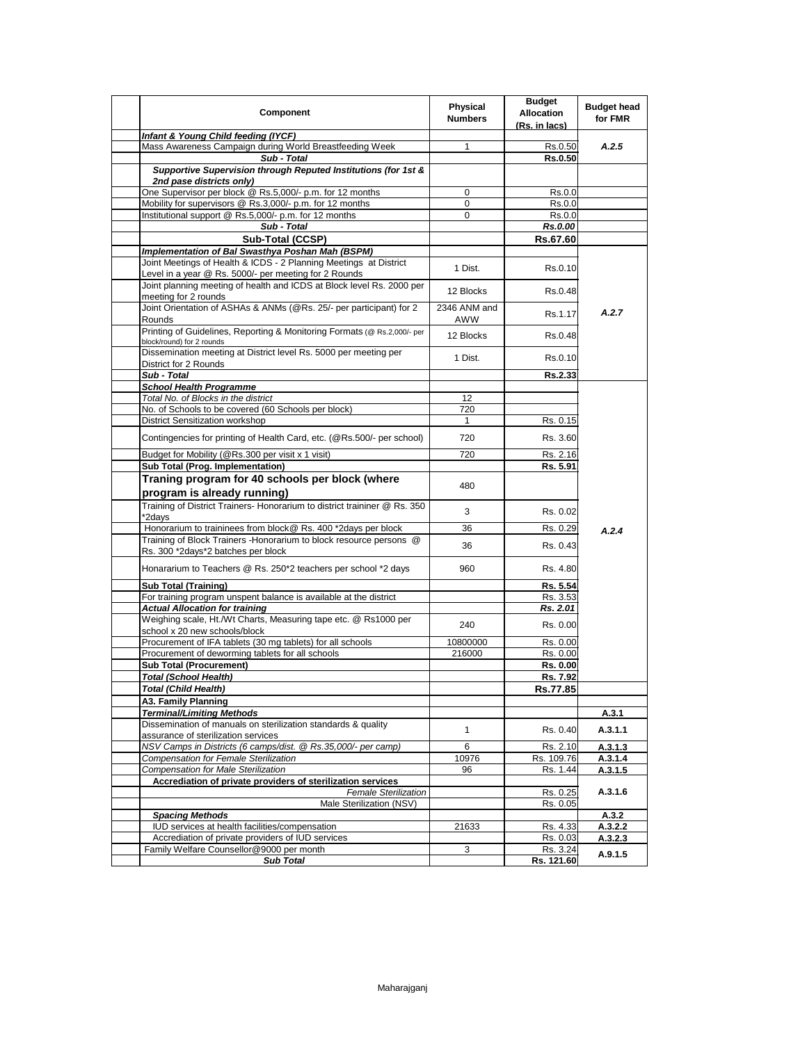| Component                                                                                                                  | Physical<br><b>Numbers</b> | <b>Budget</b><br><b>Allocation</b><br>(Rs. in lacs) | <b>Budget head</b><br>for FMR |
|----------------------------------------------------------------------------------------------------------------------------|----------------------------|-----------------------------------------------------|-------------------------------|
| Infant & Young Child feeding (IYCF)                                                                                        |                            |                                                     |                               |
| Mass Awareness Campaign during World Breastfeeding Week                                                                    | 1                          | Rs.0.50                                             | A.2.5                         |
| Sub - Total                                                                                                                |                            | <b>Rs.0.50</b>                                      |                               |
| Supportive Supervision through Reputed Institutions (for 1st &<br>2nd pase districts only)                                 |                            |                                                     |                               |
| One Supervisor per block @ Rs.5,000/- p.m. for 12 months                                                                   | 0                          | Rs.0.0                                              |                               |
| Mobility for supervisors @ Rs.3,000/- p.m. for 12 months                                                                   | 0                          | Rs.0.0                                              |                               |
| Institutional support @ Rs.5,000/- p.m. for 12 months                                                                      | $\mathbf 0$                | Rs.0.0                                              |                               |
| Sub - Total                                                                                                                |                            | Rs.0.00                                             |                               |
| Sub-Total (CCSP)                                                                                                           |                            | Rs.67.60                                            |                               |
| Implementation of Bal Swasthya Poshan Mah (BSPM)                                                                           |                            |                                                     |                               |
| Joint Meetings of Health & ICDS - 2 Planning Meetings at District<br>Level in a year @ Rs. 5000/- per meeting for 2 Rounds | 1 Dist.                    | Rs.0.10                                             |                               |
| Joint planning meeting of health and ICDS at Block level Rs. 2000 per<br>meeting for 2 rounds                              | 12 Blocks                  | Rs.0.48                                             |                               |
| Joint Orientation of ASHAs & ANMs (@Rs. 25/- per participant) for 2<br>Rounds                                              | 2346 ANM and<br>AWW        | Rs.1.17                                             | A.2.7                         |
| Printing of Guidelines, Reporting & Monitoring Formats (@ Rs.2,000/- per                                                   | 12 Blocks                  | Rs.0.48                                             |                               |
| block/round) for 2 rounds<br>Dissemination meeting at District level Rs. 5000 per meeting per                              | 1 Dist.                    | Rs.0.10                                             |                               |
| District for 2 Rounds                                                                                                      |                            |                                                     |                               |
| Sub - Total                                                                                                                |                            | Rs.2.33                                             |                               |
| <b>School Health Programme</b>                                                                                             |                            |                                                     |                               |
| Total No. of Blocks in the district                                                                                        | 12                         |                                                     |                               |
| No. of Schools to be covered (60 Schools per block)                                                                        | 720                        |                                                     |                               |
| <b>District Sensitization workshop</b><br>Contingencies for printing of Health Card, etc. (@Rs.500/- per school)           | $\mathbf{1}$<br>720        | Rs. 0.15<br>Rs. 3.60                                |                               |
|                                                                                                                            |                            |                                                     |                               |
| Budget for Mobility (@Rs.300 per visit x 1 visit)                                                                          | 720                        | Rs. 2.16                                            |                               |
| Sub Total (Prog. Implementation)                                                                                           |                            | Rs. 5.91                                            |                               |
| Traning program for 40 schools per block (where<br>program is already running)                                             | 480                        |                                                     |                               |
| Training of District Trainers- Honorarium to district traininer @ Rs. 350                                                  | 3                          | Rs. 0.02                                            |                               |
| *2days<br>Honorarium to traininees from block@ Rs. 400 *2days per block                                                    | 36                         |                                                     |                               |
| Training of Block Trainers - Honorarium to block resource persons @                                                        | 36                         | Rs. 0.29<br>Rs. 0.43                                | A.2.4                         |
| Rs. 300 *2days*2 batches per block                                                                                         |                            |                                                     |                               |
| Honararium to Teachers @ Rs. 250*2 teachers per school *2 days                                                             | 960                        | Rs. 4.80                                            |                               |
| <b>Sub Total (Training)</b>                                                                                                |                            | Rs. 5.54                                            |                               |
| For training program unspent balance is available at the district                                                          |                            | Rs. 3.53                                            |                               |
| <b>Actual Allocation for training</b>                                                                                      |                            | Rs. 2.01                                            |                               |
| Weighing scale, Ht./Wt Charts, Measuring tape etc. @ Rs1000 per<br>school x 20 new schools/block                           | 240                        | Rs. 0.00                                            |                               |
| Procurement of IFA tablets (30 mg tablets) for all schools                                                                 | 10800000                   | Rs. 0.00                                            |                               |
| Procurement of deworming tablets for all schools                                                                           | 216000                     | Rs. 0.00                                            |                               |
| <b>Sub Total (Procurement)</b>                                                                                             |                            | Rs. 0.00                                            |                               |
| <b>Total (School Health)</b>                                                                                               |                            | Rs. 7.92                                            |                               |
| <b>Total (Child Health)</b>                                                                                                |                            | Rs.77.85                                            |                               |
| A3. Family Planning                                                                                                        |                            |                                                     |                               |
| <b>Terminal/Limiting Methods</b>                                                                                           |                            |                                                     | A.3.1                         |
| Dissemination of manuals on sterilization standards & quality<br>assurance of sterilization services                       | $\mathbf{1}$               | Rs. 0.40                                            | A.3.1.1                       |
| NSV Camps in Districts (6 camps/dist. @ Rs.35,000/- per camp)                                                              | 6                          | Rs. 2.10                                            | A.3.1.3                       |
| Compensation for Female Sterilization                                                                                      | 10976                      | Rs. 109.76                                          | A.3.1.4                       |
| <b>Compensation for Male Sterilization</b>                                                                                 | 96                         | Rs. 1.44                                            | A.3.1.5                       |
| Accrediation of private providers of sterilization services                                                                |                            |                                                     |                               |
| <b>Female Sterilization</b>                                                                                                |                            | Rs. 0.25                                            | A.3.1.6                       |
| Male Sterilization (NSV)                                                                                                   |                            | Rs. 0.05                                            |                               |
| <b>Spacing Methods</b>                                                                                                     |                            |                                                     | A.3.2                         |
| IUD services at health facilities/compensation                                                                             | 21633                      | Rs. 4.33                                            | A.3.2.2                       |
| Accrediation of private providers of IUD services                                                                          |                            | Rs. 0.03                                            | A.3.2.3                       |
| Family Welfare Counsellor@9000 per month                                                                                   | 3                          | Rs. 3.24                                            | A.9.1.5                       |
| <b>Sub Total</b>                                                                                                           |                            | Rs. 121.60                                          |                               |
|                                                                                                                            |                            |                                                     |                               |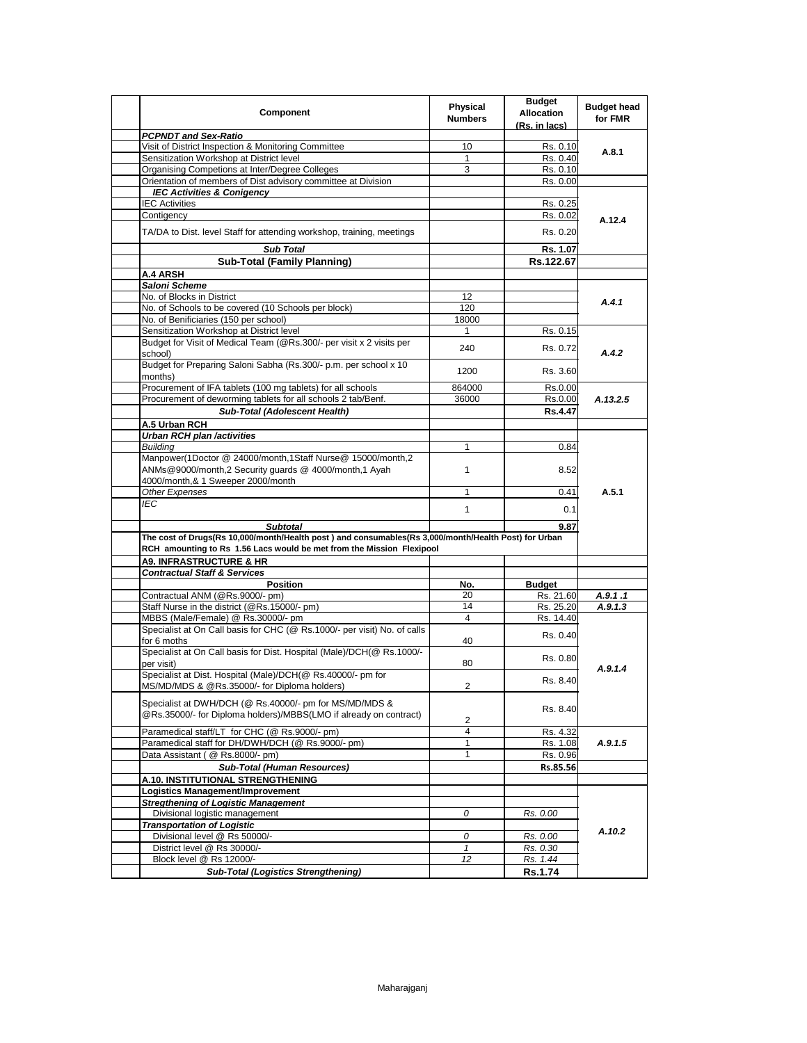| Component                                                                                              | <b>Physical</b><br><b>Numbers</b> | <b>Budget</b><br><b>Allocation</b><br>(Rs. in lacs) | <b>Budget head</b><br>for FMR |
|--------------------------------------------------------------------------------------------------------|-----------------------------------|-----------------------------------------------------|-------------------------------|
| <b>PCPNDT and Sex-Ratio</b>                                                                            |                                   |                                                     |                               |
| Visit of District Inspection & Monitoring Committee                                                    | 10                                | Rs. 0.10                                            | A.8.1                         |
| Sensitization Workshop at District level                                                               | 1                                 | Rs. 0.40                                            |                               |
| Organising Competions at Inter/Degree Colleges                                                         | 3                                 | Rs. 0.10                                            |                               |
| Orientation of members of Dist advisory committee at Division                                          |                                   | Rs. 0.00                                            |                               |
| <b>IEC Activities &amp; Conigency</b>                                                                  |                                   |                                                     |                               |
| <b>IEC Activities</b>                                                                                  |                                   | Rs. 0.25                                            |                               |
| Contigency                                                                                             |                                   | Rs. 0.02                                            | A.12.4                        |
| TA/DA to Dist. level Staff for attending workshop, training, meetings                                  |                                   | Rs. 0.20                                            |                               |
| <b>Sub Total</b>                                                                                       |                                   | Rs. 1.07                                            |                               |
| <b>Sub-Total (Family Planning)</b>                                                                     |                                   | Rs.122.67                                           |                               |
| <b>A.4 ARSH</b>                                                                                        |                                   |                                                     |                               |
| Saloni Scheme                                                                                          |                                   |                                                     |                               |
| No. of Blocks in District                                                                              | 12                                |                                                     | A.4.1                         |
| No. of Schools to be covered (10 Schools per block)                                                    | 120                               |                                                     |                               |
| No. of Benificiaries (150 per school)                                                                  | 18000                             |                                                     |                               |
| Sensitization Workshop at District level                                                               | 1                                 | Rs. 0.15                                            |                               |
| Budget for Visit of Medical Team (@Rs.300/- per visit x 2 visits per<br>school)                        | 240                               | Rs. 0.72                                            | A.4.2                         |
| Budget for Preparing Saloni Sabha (Rs.300/- p.m. per school x 10<br>months)                            | 1200                              | Rs. 3.60                                            |                               |
| Procurement of IFA tablets (100 mg tablets) for all schools                                            | 864000                            | Rs.0.00                                             |                               |
| Procurement of deworming tablets for all schools 2 tab/Benf.                                           | 36000                             | Rs.0.00                                             | A.13.2.5                      |
| Sub-Total (Adolescent Health)                                                                          |                                   | Rs.4.47                                             |                               |
|                                                                                                        |                                   |                                                     |                               |
| A.5 Urban RCH<br><b>Urban RCH plan /activities</b>                                                     |                                   |                                                     |                               |
| <b>Building</b>                                                                                        | $\mathbf{1}$                      | 0.84                                                |                               |
| Manpower(1Doctor @ 24000/month,1Staff Nurse@ 15000/month,2                                             |                                   |                                                     |                               |
| ANMs@9000/month,2 Security guards @ 4000/month,1 Ayah<br>4000/month,& 1 Sweeper 2000/month             | 1                                 | 8.52                                                |                               |
| Other Expenses                                                                                         | 1                                 | 0.41                                                | A.5.1                         |
| IEC                                                                                                    |                                   |                                                     |                               |
|                                                                                                        | $\mathbf{1}$                      | 0.1                                                 |                               |
| <b>Subtotal</b>                                                                                        |                                   | 9.87                                                |                               |
| The cost of Drugs(Rs 10,000/month/Health post) and consumables(Rs 3,000/month/Health Post) for Urban   |                                   |                                                     |                               |
| RCH amounting to Rs 1.56 Lacs would be met from the Mission Flexipool                                  |                                   |                                                     |                               |
| <b>A9. INFRASTRUCTURE &amp; HR</b>                                                                     |                                   |                                                     |                               |
| <b>Contractual Staff &amp; Services</b>                                                                |                                   |                                                     |                               |
| <b>Position</b>                                                                                        | No.                               | <b>Budget</b>                                       |                               |
| Contractual ANM (@Rs.9000/- pm)                                                                        | 20                                | Rs. 21.60                                           | A.9.1.1                       |
| Staff Nurse in the district (@Rs.15000/- pm)                                                           | 14                                | Rs. 25.20                                           | A.9.1.3                       |
| MBBS (Male/Female) @ Rs.30000/- pm                                                                     | 4                                 | Rs. 14.40                                           |                               |
| Specialist at On Call basis for CHC (@ Rs.1000/- per visit) No. of calls<br>for 6 moths                | 40                                | Rs. 0.40                                            |                               |
| Specialist at On Call basis for Dist. Hospital (Male)/DCH(@ Rs.1000/-                                  |                                   | Rs. 0.80                                            |                               |
| per visit)<br>Specialist at Dist. Hospital (Male)/DCH(@ Rs.40000/- pm for                              | 80                                | Rs. 8.40                                            | A.9.1.4                       |
| MS/MD/MDS & @Rs.35000/- for Diploma holders)<br>Specialist at DWH/DCH (@ Rs.40000/- pm for MS/MD/MDS & | 2                                 |                                                     |                               |
| @Rs.35000/- for Diploma holders)/MBBS(LMO if already on contract)                                      | 2                                 | Rs. 8.40                                            |                               |
| Paramedical staff/LT for CHC (@ Rs.9000/- pm)                                                          | 4                                 | Rs. 4.32                                            |                               |
| Paramedical staff for DH/DWH/DCH (@ Rs.9000/- pm)                                                      | $\mathbf{1}$                      | Rs. 1.08                                            | A.9.1.5                       |
| Data Assistant (@ Rs.8000/- pm)                                                                        | 1                                 | Rs. 0.96                                            |                               |
| <b>Sub-Total (Human Resources)</b>                                                                     |                                   | Rs.85.56                                            |                               |
| A.10. INSTITUTIONAL STRENGTHENING                                                                      |                                   |                                                     |                               |
| Logistics Management/Improvement                                                                       |                                   |                                                     |                               |
| <b>Stregthening of Logistic Management</b>                                                             |                                   |                                                     | A.10.2                        |
| Divisional logistic management                                                                         | 0                                 | Rs. 0.00                                            |                               |
| <b>Transportation of Logistic</b>                                                                      |                                   |                                                     |                               |
| Divisional level @ Rs 50000/-                                                                          | 0                                 | Rs. 0.00                                            |                               |
| District level @ Rs 30000/-                                                                            | $\mathbf{1}$                      | Rs. 0.30                                            |                               |
| Block level @ Rs 12000/-                                                                               | 12                                | Rs. 1.44                                            |                               |
|                                                                                                        |                                   | Rs.1.74                                             |                               |
| <b>Sub-Total (Logistics Strengthening)</b>                                                             |                                   |                                                     |                               |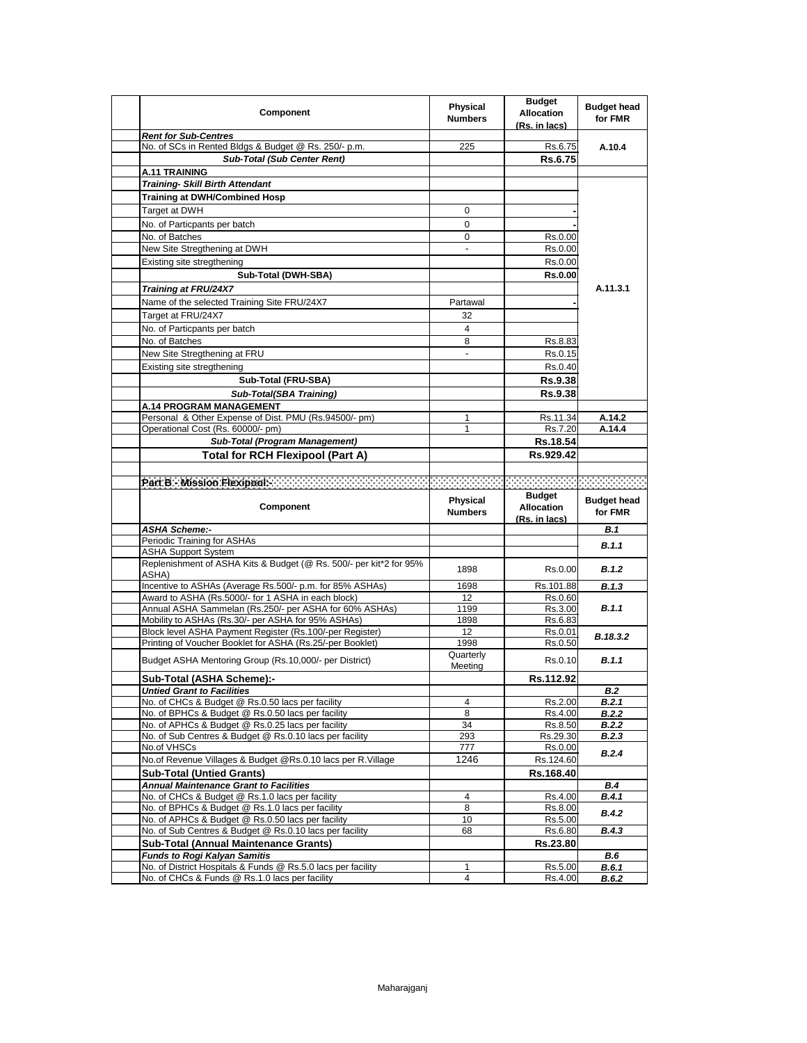| <b>Component</b>                                                                                               | Physical<br><b>Numbers</b> | <b>Budget</b><br><b>Allocation</b><br>(Rs. in lacs) | <b>Budget head</b><br>for FMR |
|----------------------------------------------------------------------------------------------------------------|----------------------------|-----------------------------------------------------|-------------------------------|
| <b>Rent for Sub-Centres</b>                                                                                    |                            |                                                     |                               |
| No. of SCs in Rented Bldgs & Budget @ Rs. 250/- p.m.                                                           | 225                        | Rs.6.75                                             | A.10.4                        |
| <b>Sub-Total (Sub Center Rent)</b>                                                                             |                            | Rs.6.75                                             |                               |
| A.11 TRAINING<br><b>Training- Skill Birth Attendant</b>                                                        |                            |                                                     |                               |
| <b>Training at DWH/Combined Hosp</b>                                                                           |                            |                                                     |                               |
|                                                                                                                |                            |                                                     |                               |
| Target at DWH                                                                                                  | 0                          |                                                     |                               |
| No. of Particpants per batch                                                                                   | $\mathbf 0$                |                                                     |                               |
| No. of Batches                                                                                                 | 0                          | Rs.0.00                                             |                               |
| New Site Stregthening at DWH                                                                                   |                            | Rs.0.00                                             |                               |
| Existing site stregthening                                                                                     |                            | Rs.0.00                                             |                               |
| Sub-Total (DWH-SBA)                                                                                            |                            | <b>Rs.0.00</b>                                      |                               |
| Training at FRU/24X7                                                                                           |                            |                                                     | A.11.3.1                      |
| Name of the selected Training Site FRU/24X7                                                                    | Partawal                   |                                                     |                               |
| Target at FRU/24X7                                                                                             | 32                         |                                                     |                               |
| No. of Particpants per batch                                                                                   | 4                          |                                                     |                               |
| No. of Batches                                                                                                 | 8                          | Rs.8.83                                             |                               |
| New Site Stregthening at FRU                                                                                   | ٠                          | Rs.0.15                                             |                               |
| Existing site stregthening                                                                                     |                            | Rs.0.40                                             |                               |
| Sub-Total (FRU-SBA)                                                                                            |                            | <b>Rs.9.38</b>                                      |                               |
| Sub-Total(SBA Training)                                                                                        |                            | <b>Rs.9.38</b>                                      |                               |
| <b>A.14 PROGRAM MANAGEMENT</b>                                                                                 |                            |                                                     |                               |
| Personal & Other Expense of Dist. PMU (Rs.94500/- pm)                                                          | 1                          | Rs.11.34                                            | A.14.2                        |
| Operational Cost (Rs. 60000/- pm)                                                                              | 1                          | Rs.7.20                                             | A.14.4                        |
| <b>Sub-Total (Program Management)</b>                                                                          |                            | Rs.18.54                                            |                               |
| <b>Total for RCH Flexipool (Part A)</b>                                                                        |                            | Rs.929.42                                           |                               |
|                                                                                                                |                            |                                                     |                               |
| Part B - Mission Flexipools                                                                                    |                            |                                                     | beereen                       |
|                                                                                                                |                            | <b>Budget</b>                                       |                               |
| Component                                                                                                      | Physical<br><b>Numbers</b> | <b>Allocation</b>                                   | <b>Budget head</b><br>for FMR |
|                                                                                                                |                            | (Rs. in lacs)                                       |                               |
| <b>ASHA Scheme:-</b>                                                                                           |                            |                                                     | B.1                           |
| Periodic Training for ASHAs                                                                                    |                            |                                                     | B.1.1                         |
| <b>ASHA Support System</b><br>Replenishment of ASHA Kits & Budget (@ Rs. 500/- per kit*2 for 95%<br>ASHA)      | 1898                       | Rs.0.00                                             | B.1.2                         |
| Incentive to ASHAs (Average Rs.500/- p.m. for 85% ASHAs)                                                       | 1698                       | Rs.101.88                                           | B.1.3                         |
| Award to ASHA (Rs.5000/- for 1 ASHA in each block)                                                             | 12                         | Rs.0.60                                             |                               |
| Annual ASHA Sammelan (Rs.250/- per ASHA for 60% ASHAs)                                                         | 1199                       | Rs.3.00                                             | B.1.1                         |
| Mobility to ASHAs (Rs.30/- per ASHA for 95% ASHAs)                                                             | 1898                       | Rs.6.83                                             |                               |
| Block level ASHA Payment Register (Rs.100/-per Register)                                                       | 12                         | Rs.0.01                                             | B.18.3.2                      |
| Printing of Voucher Booklet for ASHA (Rs.25/-per Booklet)                                                      | 1998                       | Rs.0.50                                             |                               |
| Budget ASHA Mentoring Group (Rs.10,000/- per District)                                                         | Quarterly<br>Meeting       | Rs.0.10                                             | B.1.1                         |
| Sub-Total (ASHA Scheme):-                                                                                      |                            | Rs.112.92                                           |                               |
| <b>Untied Grant to Facilities</b>                                                                              |                            |                                                     | <b>B.2</b>                    |
| No. of CHCs & Budget @ Rs.0.50 lacs per facility                                                               | 4                          | Rs.2.00                                             | B.2.1                         |
| No. of BPHCs & Budget @ Rs.0.50 lacs per facility                                                              | 8                          | Rs.4.00                                             | <b>B.2.2</b>                  |
| No. of APHCs & Budget @ Rs.0.25 lacs per facility                                                              | 34                         | Rs.8.50                                             | <b>B.2.2</b>                  |
| No. of Sub Centres & Budget @ Rs.0.10 lacs per facility                                                        | 293                        | Rs.29.30                                            | <b>B.2.3</b>                  |
| No.of VHSCs                                                                                                    | 777                        | Rs.0.00                                             | B.2.4                         |
| No.of Revenue Villages & Budget @Rs.0.10 lacs per R.Village                                                    | 1246                       | Rs.124.60                                           |                               |
| <b>Sub-Total (Untied Grants)</b>                                                                               |                            | Rs.168.40                                           |                               |
| <b>Annual Maintenance Grant to Facilities</b>                                                                  | 4                          |                                                     | <b>B.4</b>                    |
| No. of CHCs & Budget @ Rs.1.0 lacs per facility<br>No. of BPHCs & Budget @ Rs.1.0 lacs per facility            | 8                          | Rs.4.00<br>Rs.8.00                                  | B.4.1                         |
| No. of APHCs & Budget @ Rs.0.50 lacs per facility                                                              | 10                         | Rs.5.00                                             | <b>B.4.2</b>                  |
| No. of Sub Centres & Budget @ Rs.0.10 lacs per facility                                                        | 68                         | Rs.6.80                                             | <b>B.4.3</b>                  |
| <b>Sub-Total (Annual Maintenance Grants)</b>                                                                   |                            | Rs.23.80                                            |                               |
| <b>Funds to Rogi Kalyan Samitis</b>                                                                            |                            |                                                     | B.6                           |
| No. of District Hospitals & Funds @ Rs.5.0 lacs per facility<br>No. of CHCs & Funds @ Rs.1.0 lacs per facility | 1<br>4                     | Rs.5.00<br>Rs.4.00                                  | B.6.1<br><b>B.6.2</b>         |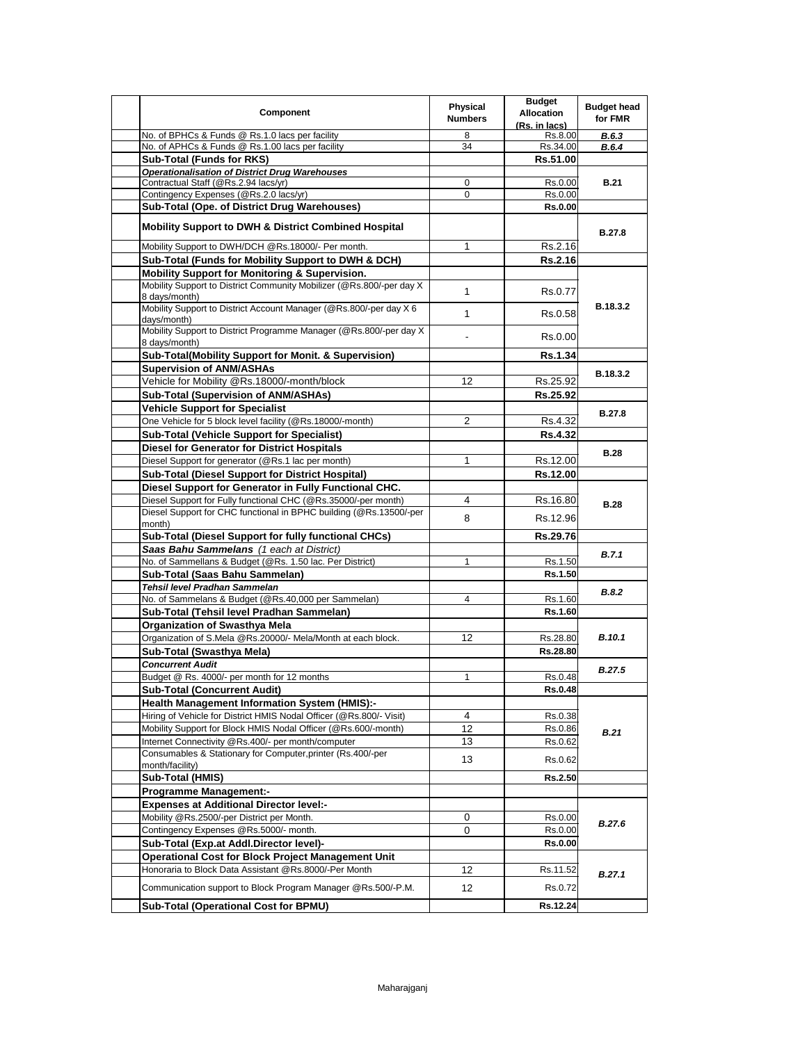| Component                                                                              | Physical<br><b>Numbers</b> | <b>Budget</b><br><b>Allocation</b><br>(Rs. in lacs) | <b>Budget head</b><br>for FMR |
|----------------------------------------------------------------------------------------|----------------------------|-----------------------------------------------------|-------------------------------|
| No. of BPHCs & Funds @ Rs.1.0 lacs per facility                                        | 8                          | Rs.8.00                                             | <b>B.6.3</b>                  |
| No. of APHCs & Funds @ Rs.1.00 lacs per facility                                       | 34                         | Rs.34.00                                            | B.6.4                         |
| <b>Sub-Total (Funds for RKS)</b>                                                       |                            | Rs.51.00                                            |                               |
| <b>Operationalisation of District Drug Warehouses</b>                                  |                            |                                                     |                               |
| Contractual Staff (@Rs.2.94 lacs/yr)                                                   | 0                          | Rs.0.00                                             | <b>B.21</b>                   |
| Contingency Expenses (@Rs.2.0 lacs/yr)                                                 | 0                          | Rs.0.00                                             |                               |
| Sub-Total (Ope. of District Drug Warehouses)                                           |                            | <b>Rs.0.00</b>                                      |                               |
| <b>Mobility Support to DWH &amp; District Combined Hospital</b>                        |                            |                                                     | <b>B.27.8</b>                 |
| Mobility Support to DWH/DCH @Rs.18000/- Per month.                                     | 1                          | Rs.2.16                                             |                               |
| Sub-Total (Funds for Mobility Support to DWH & DCH)                                    |                            | Rs.2.16                                             |                               |
| <b>Mobility Support for Monitoring &amp; Supervision.</b>                              |                            |                                                     |                               |
| Mobility Support to District Community Mobilizer (@Rs.800/-per day X)<br>8 days/month) | $\mathbf{1}$               | Rs.0.77                                             |                               |
| Mobility Support to District Account Manager (@Rs.800/-per day X 6<br>days/month)      | $\mathbf{1}$               | Rs.0.58                                             | B.18.3.2                      |
| Mobility Support to District Programme Manager (@Rs.800/-per day X)<br>8 days/month)   |                            | Rs.0.00                                             |                               |
| Sub-Total(Mobility Support for Monit. & Supervision)                                   |                            | <b>Rs.1.34</b>                                      |                               |
| <b>Supervision of ANM/ASHAs</b>                                                        |                            |                                                     | <b>B.18.3.2</b>               |
| Vehicle for Mobility @Rs.18000/-month/block                                            | 12                         | Rs.25.92                                            |                               |
| Sub-Total (Supervision of ANM/ASHAs)                                                   |                            | Rs.25.92                                            |                               |
| <b>Vehicle Support for Specialist</b>                                                  |                            |                                                     | <b>B.27.8</b>                 |
| One Vehicle for 5 block level facility (@Rs.18000/-month)                              | $\overline{2}$             | Rs.4.32                                             |                               |
| <b>Sub-Total (Vehicle Support for Specialist)</b>                                      |                            | <b>Rs.4.32</b>                                      |                               |
| <b>Diesel for Generator for District Hospitals</b>                                     |                            |                                                     |                               |
| Diesel Support for generator (@Rs.1 lac per month)                                     | 1                          | Rs.12.00                                            | <b>B.28</b>                   |
| <b>Sub-Total (Diesel Support for District Hospital)</b>                                |                            | Rs.12.00                                            |                               |
| Diesel Support for Generator in Fully Functional CHC.                                  |                            |                                                     |                               |
| Diesel Support for Fully functional CHC (@Rs.35000/-per month)                         | 4                          | Rs.16.80                                            | <b>B.28</b>                   |
| Diesel Support for CHC functional in BPHC building (@Rs.13500/-per                     |                            |                                                     |                               |
| month)                                                                                 | 8                          | Rs.12.96                                            |                               |
| Sub-Total (Diesel Support for fully functional CHCs)                                   |                            | Rs.29.76                                            |                               |
| Saas Bahu Sammelans (1 each at District)                                               |                            |                                                     | B.7.1                         |
| No. of Sammellans & Budget (@Rs. 1.50 lac. Per District)                               | 1                          | Rs.1.50                                             |                               |
| Sub-Total (Saas Bahu Sammelan)                                                         |                            | Rs.1.50                                             |                               |
| Tehsil level Pradhan Sammelan                                                          |                            |                                                     | <b>B.8.2</b>                  |
| No. of Sammelans & Budget (@Rs.40,000 per Sammelan)                                    | 4                          | Rs.1.60                                             |                               |
| Sub-Total (Tehsil level Pradhan Sammelan)                                              |                            | Rs.1.60                                             |                               |
| Organization of Swasthya Mela                                                          |                            |                                                     |                               |
| Organization of S.Mela @Rs.20000/- Mela/Month at each block.                           | 12                         | Rs.28.80                                            | <b>B.10.1</b>                 |
| Sub-Total (Swasthya Mela)                                                              |                            | Rs.28.80                                            |                               |
| <b>Concurrent Audit</b>                                                                |                            |                                                     | <b>B.27.5</b>                 |
| Budget @ Rs. 4000/- per month for 12 months                                            | $\mathbf{1}$               | Rs.0.48                                             |                               |
| <b>Sub-Total (Concurrent Audit)</b>                                                    |                            | <b>Rs.0.48</b>                                      |                               |
| <b>Health Management Information System (HMIS):-</b>                                   |                            |                                                     |                               |
| Hiring of Vehicle for District HMIS Nodal Officer (@Rs.800/- Visit)                    | 4                          | Rs.0.38                                             |                               |
| Mobility Support for Block HMIS Nodal Officer (@Rs.600/-month)                         | 12                         | Rs.0.86                                             | <b>B.21</b>                   |
| Internet Connectivity @Rs.400/- per month/computer                                     | 13                         | Rs.0.62                                             |                               |
| Consumables & Stationary for Computer, printer (Rs.400/-per                            | 13                         | Rs.0.62                                             |                               |
| month/facility)                                                                        |                            |                                                     |                               |
| Sub-Total (HMIS)                                                                       |                            | Rs.2.50                                             |                               |
| <b>Programme Management:-</b>                                                          |                            |                                                     |                               |
| <b>Expenses at Additional Director level:-</b>                                         |                            |                                                     | <b>B.27.6</b>                 |
| Mobility @Rs.2500/-per District per Month.                                             | 0                          | Rs.0.00                                             |                               |
| Contingency Expenses @Rs.5000/- month.                                                 | 0                          | Rs.0.00                                             |                               |
| Sub-Total (Exp.at Addl.Director level)-                                                |                            | <b>Rs.0.00</b>                                      |                               |
| Operational Cost for Block Project Management Unit                                     |                            |                                                     | B.27.1                        |
| Honoraria to Block Data Assistant @Rs.8000/-Per Month                                  | 12                         | Rs.11.52                                            |                               |
| Communication support to Block Program Manager @Rs.500/-P.M.                           | 12                         | Rs.0.72                                             |                               |
| Sub-Total (Operational Cost for BPMU)                                                  |                            | Rs.12.24                                            |                               |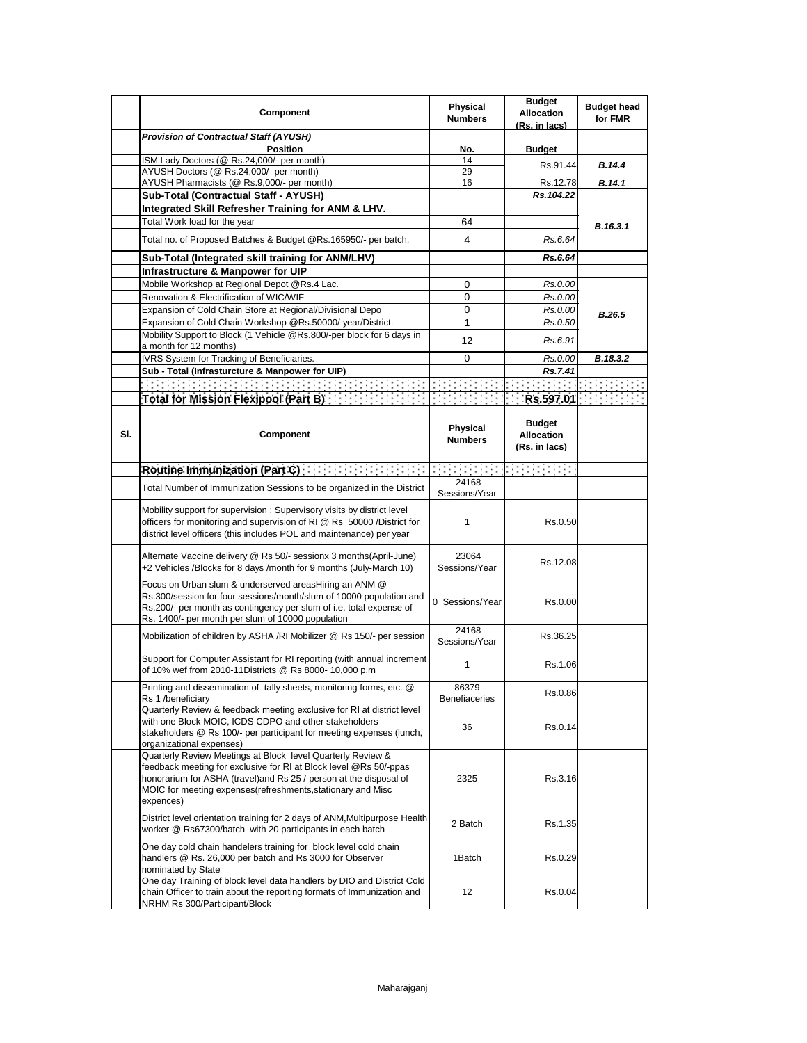|     | Component                                                                                                                                                                                                                                                                           | <b>Physical</b><br><b>Numbers</b> | <b>Budget</b><br><b>Allocation</b><br>(Rs. in lacs) | <b>Budget head</b><br>for FMR |
|-----|-------------------------------------------------------------------------------------------------------------------------------------------------------------------------------------------------------------------------------------------------------------------------------------|-----------------------------------|-----------------------------------------------------|-------------------------------|
|     | <b>Provision of Contractual Staff (AYUSH)</b>                                                                                                                                                                                                                                       |                                   |                                                     |                               |
|     | <b>Position</b>                                                                                                                                                                                                                                                                     | No.                               | <b>Budget</b>                                       |                               |
|     | ISM Lady Doctors (@ Rs.24,000/- per month)                                                                                                                                                                                                                                          | 14                                | Rs.91.44                                            | <b>B.14.4</b>                 |
|     | AYUSH Doctors (@ Rs.24,000/- per month)<br>AYUSH Pharmacists (@ Rs.9,000/- per month)                                                                                                                                                                                               | 29<br>16                          | Rs.12.78                                            |                               |
|     |                                                                                                                                                                                                                                                                                     |                                   | Rs.104.22                                           | B.14.1                        |
|     | Sub-Total (Contractual Staff - AYUSH)<br>Integrated Skill Refresher Training for ANM & LHV.                                                                                                                                                                                         |                                   |                                                     |                               |
|     | Total Work load for the year                                                                                                                                                                                                                                                        | 64                                |                                                     |                               |
|     |                                                                                                                                                                                                                                                                                     |                                   |                                                     | B.16.3.1                      |
|     | Total no. of Proposed Batches & Budget @Rs.165950/- per batch.                                                                                                                                                                                                                      | 4                                 | Rs.6.64                                             |                               |
|     | Sub-Total (Integrated skill training for ANM/LHV)                                                                                                                                                                                                                                   |                                   | Rs.6.64                                             |                               |
|     | Infrastructure & Manpower for UIP                                                                                                                                                                                                                                                   |                                   |                                                     |                               |
|     | Mobile Workshop at Regional Depot @Rs.4 Lac.                                                                                                                                                                                                                                        | 0                                 | Rs.0.00                                             |                               |
|     | Renovation & Electrification of WIC/WIF                                                                                                                                                                                                                                             | 0                                 | Rs.0.00                                             |                               |
|     | Expansion of Cold Chain Store at Regional/Divisional Depo                                                                                                                                                                                                                           | 0                                 | Rs.0.00                                             | <b>B.26.5</b>                 |
|     | Expansion of Cold Chain Workshop @Rs.50000/-year/District.                                                                                                                                                                                                                          | 1                                 | Rs.0.50                                             |                               |
|     | Mobility Support to Block (1 Vehicle @Rs.800/-per block for 6 days in<br>a month for 12 months)                                                                                                                                                                                     | 12                                | Rs.6.91                                             |                               |
|     | IVRS System for Tracking of Beneficiaries.                                                                                                                                                                                                                                          | 0                                 | Rs.0.00                                             | B.18.3.2                      |
|     | Sub - Total (Infrasturcture & Manpower for UIP)                                                                                                                                                                                                                                     |                                   | Rs.7.41                                             |                               |
|     |                                                                                                                                                                                                                                                                                     |                                   |                                                     |                               |
|     | Total for Mission Flexipool (Part B) [11] [11] [11] [11] [11] [11] [11]                                                                                                                                                                                                             |                                   |                                                     | Rs.597.01                     |
| SI. | Component                                                                                                                                                                                                                                                                           | Physical<br><b>Numbers</b>        | <b>Budget</b><br><b>Allocation</b><br>(Rs. in lacs) |                               |
|     |                                                                                                                                                                                                                                                                                     |                                   |                                                     |                               |
|     | Routine Immunization (Part C) [19] Routine Immunization (Part C)                                                                                                                                                                                                                    | s en 1999                         |                                                     |                               |
|     | Total Number of Immunization Sessions to be organized in the District                                                                                                                                                                                                               | 24168<br>Sessions/Year            |                                                     |                               |
|     | Mobility support for supervision: Supervisory visits by district level<br>officers for monitoring and supervision of RI @ Rs 50000 /District for<br>district level officers (this includes POL and maintenance) per year                                                            | 1                                 | Rs.0.50                                             |                               |
|     | Alternate Vaccine delivery @ Rs 50/- sessionx 3 months (April-June)<br>+2 Vehicles /Blocks for 8 days /month for 9 months (July-March 10)                                                                                                                                           | 23064<br>Sessions/Year            | Rs.12.08                                            |                               |
|     | Focus on Urban slum & underserved areasHiring an ANM @<br>Rs.300/session for four sessions/month/slum of 10000 population and<br>Rs.200/- per month as contingency per slum of i.e. total expense of<br>Rs. 1400/- per month per slum of 10000 population                           | 0 Sessions/Year                   | Rs.0.00                                             |                               |
|     | Mobilization of children by ASHA /RI Mobilizer @ Rs 150/- per session                                                                                                                                                                                                               | 24168<br>Sessions/Year            | Rs.36.25                                            |                               |
|     | Support for Computer Assistant for RI reporting (with annual increment<br>of 10% wef from 2010-11Districts @ Rs 8000- 10,000 p.m                                                                                                                                                    | 1                                 | Rs.1.06                                             |                               |
|     | Printing and dissemination of $\,$ tally sheets, monitoring forms, etc. $\,\circ\!\!\:\circ\!\!\:\,$<br>Rs 1 /beneficiary                                                                                                                                                           | 86379<br><b>Benefiaceries</b>     | Rs.0.86                                             |                               |
|     | Quarterly Review & feedback meeting exclusive for RI at district level<br>with one Block MOIC, ICDS CDPO and other stakeholders<br>stakeholders @ Rs 100/- per participant for meeting expenses (lunch,<br>organizational expenses)                                                 | 36                                | Rs.0.14                                             |                               |
|     | Quarterly Review Meetings at Block level Quarterly Review &<br>feedback meeting for exclusive for RI at Block level @Rs 50/-ppas<br>honorarium for ASHA (travel) and Rs 25 /-person at the disposal of<br>MOIC for meeting expenses (refreshments, stationary and Misc<br>expences) | 2325                              | Rs.3.16                                             |                               |
|     | District level orientation training for 2 days of ANM, Multipurpose Health<br>worker @ Rs67300/batch with 20 participants in each batch                                                                                                                                             | 2 Batch                           | Rs.1.35                                             |                               |
|     | One day cold chain handelers training for block level cold chain<br>handlers @ Rs. 26,000 per batch and Rs 3000 for Observer<br>nominated by State                                                                                                                                  | 1Batch                            | Rs.0.29                                             |                               |
|     | One day Training of block level data handlers by DIO and District Cold<br>chain Officer to train about the reporting formats of Immunization and<br>NRHM Rs 300/Participant/Block                                                                                                   | 12                                | Rs.0.04                                             |                               |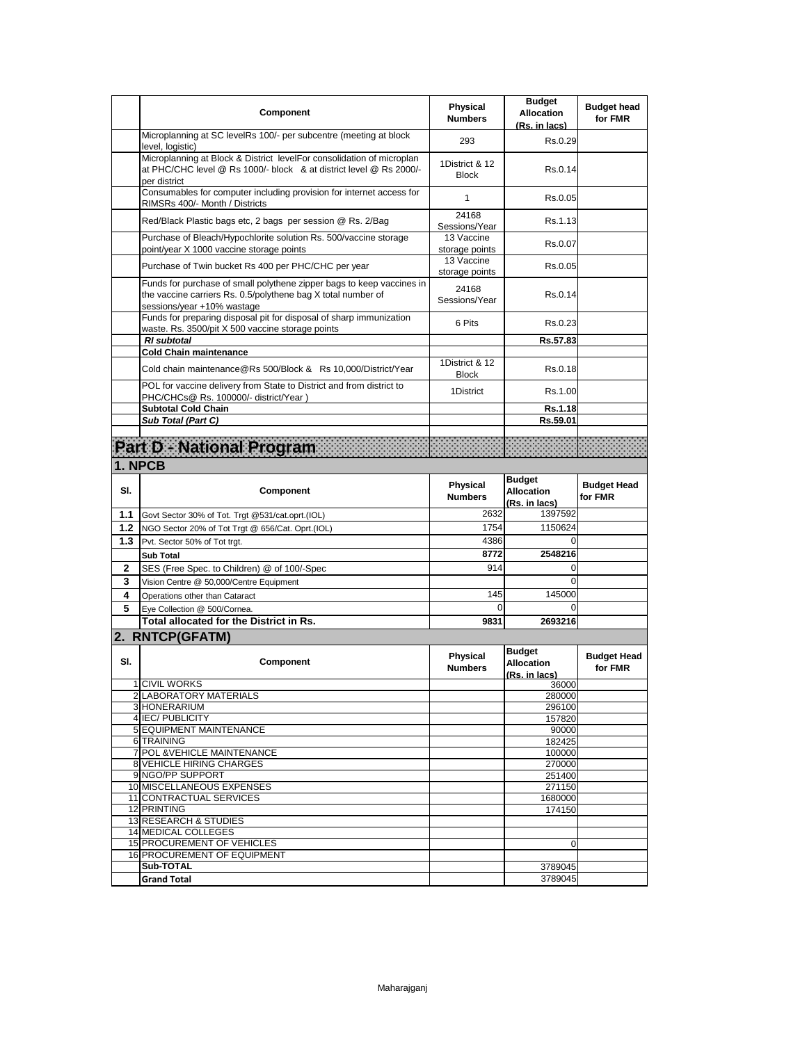| Microplanning at SC levelRs 100/- per subcentre (meeting at block<br>293<br>Rs.0.29<br>level, logistic)<br>Microplanning at Block & District levelFor consolidation of microplan<br>1District & 12<br>at PHC/CHC level @ Rs 1000/- block & at district level @ Rs 2000/-<br>Rs.0.14<br><b>Block</b><br>per district<br>Consumables for computer including provision for internet access for<br>Rs.0.05<br>1<br>RIMSRs 400/- Month / Districts<br>24168<br>Red/Black Plastic bags etc, 2 bags per session @ Rs. 2/Bag<br>Rs.1.13<br>Sessions/Year<br>Purchase of Bleach/Hypochlorite solution Rs. 500/vaccine storage<br>13 Vaccine<br>Rs.0.07<br>point/year X 1000 vaccine storage points<br>storage points<br>13 Vaccine<br>Purchase of Twin bucket Rs 400 per PHC/CHC per year<br>Rs.0.05<br>storage points<br>Funds for purchase of small polythene zipper bags to keep vaccines in<br>24168<br>the vaccine carriers Rs. 0.5/polythene bag X total number of<br>Rs.0.14<br>Sessions/Year<br>sessions/year +10% wastage<br>Funds for preparing disposal pit for disposal of sharp immunization<br>6 Pits<br>Rs.0.23<br>waste. Rs. 3500/pit X 500 vaccine storage points<br><b>RI</b> subtotal<br>Rs.57.83<br><b>Cold Chain maintenance</b><br>1District & 12<br>Cold chain maintenance@Rs 500/Block & Rs 10,000/District/Year<br>Rs.0.18<br><b>Block</b><br>POL for vaccine delivery from State to District and from district to<br>1District<br>Rs.1.00<br>PHC/CHCs@ Rs. 100000/- district/Year)<br><b>Subtotal Cold Chain</b><br>Rs.1.18<br>Sub Total (Part C)<br>Rs.59.01<br>Part D. National Program<br>1. NPCB<br><b>Budget</b><br>Physical<br><b>Budget Head</b><br>SI.<br>Component<br><b>Allocation</b><br><b>Numbers</b><br>for FMR<br>(Rs. in lacs)<br>2632<br>1397592<br>1.1<br>Govt Sector 30% of Tot. Trgt @531/cat.oprt.(IOL)<br>1754<br>1150624<br>1.2<br>NGO Sector 20% of Tot Trgt @ 656/Cat. Oprt.(IOL)<br>4386<br>$\Omega$<br>1.3<br>Pvt. Sector 50% of Tot trgt.<br>8772<br>2548216<br><b>Sub Total</b><br>914<br>0<br>2<br>SES (Free Spec. to Children) @ of 100/-Spec<br>$\Omega$<br>3<br>Vision Centre @ 50,000/Centre Equipment<br>145<br>145000<br>4<br>Operations other than Cataract<br>5<br>0<br>0<br>Eye Collection @ 500/Cornea.<br><b>Total allocated for the District in Rs.</b><br>9831<br>2693216<br>2. RNTCP(GFATM)<br><b>Budget</b><br>Physical<br><b>Budget Head</b><br>SI.<br>Component<br><b>Allocation</b><br>for FMR<br><b>Numbers</b><br>(Rs. in lacs)<br>1 CIVIL WORKS<br>36000<br>2 LABORATORY MATERIALS<br>280000<br>3 HONERARIUM<br>296100<br>4 IEC/ PUBLICITY<br>157820<br><b>5 EQUIPMENT MAINTENANCE</b><br>90000<br>6 TRAINING<br>182425<br>7 POL & VEHICLE MAINTENANCE<br>100000<br>8 VEHICLE HIRING CHARGES<br>270000<br>9 NGO/PP SUPPORT<br>251400<br>10 MISCELLANEOUS EXPENSES<br>271150<br>11 CONTRACTUAL SERVICES<br>1680000<br>12 PRINTING<br>174150<br>13 RESEARCH & STUDIES<br>14 MEDICAL COLLEGES<br>15 PROCUREMENT OF VEHICLES<br>0<br><b>16 PROCUREMENT OF EQUIPMENT</b><br>Sub-TOTAL<br>3789045<br><b>Grand Total</b> | <b>Component</b> | <b>Physical</b><br><b>Numbers</b> | <b>Budget</b><br><b>Allocation</b><br>(Rs. in lacs) | <b>Budget head</b><br>for FMR |
|---------------------------------------------------------------------------------------------------------------------------------------------------------------------------------------------------------------------------------------------------------------------------------------------------------------------------------------------------------------------------------------------------------------------------------------------------------------------------------------------------------------------------------------------------------------------------------------------------------------------------------------------------------------------------------------------------------------------------------------------------------------------------------------------------------------------------------------------------------------------------------------------------------------------------------------------------------------------------------------------------------------------------------------------------------------------------------------------------------------------------------------------------------------------------------------------------------------------------------------------------------------------------------------------------------------------------------------------------------------------------------------------------------------------------------------------------------------------------------------------------------------------------------------------------------------------------------------------------------------------------------------------------------------------------------------------------------------------------------------------------------------------------------------------------------------------------------------------------------------------------------------------------------------------------------------------------------------------------------------------------------------------------------------------------------------------------------------------------------------------------------------------------------------------------------------------------------------------------------------------------------------------------------------------------------------------------------------------------------------------------------------------------------------------------------------------------------------------------------------------------------------------------------------------------------------------------------------------------------------------------------------------------------------------------------------------------------------------------------------------------------------------------------------------------------------------------------------------------------------------------------------------------------------------------------------------------------------------------------------------------------------------------------------------------------------------------------------|------------------|-----------------------------------|-----------------------------------------------------|-------------------------------|
|                                                                                                                                                                                                                                                                                                                                                                                                                                                                                                                                                                                                                                                                                                                                                                                                                                                                                                                                                                                                                                                                                                                                                                                                                                                                                                                                                                                                                                                                                                                                                                                                                                                                                                                                                                                                                                                                                                                                                                                                                                                                                                                                                                                                                                                                                                                                                                                                                                                                                                                                                                                                                                                                                                                                                                                                                                                                                                                                                                                                                                                                                       |                  |                                   |                                                     |                               |
|                                                                                                                                                                                                                                                                                                                                                                                                                                                                                                                                                                                                                                                                                                                                                                                                                                                                                                                                                                                                                                                                                                                                                                                                                                                                                                                                                                                                                                                                                                                                                                                                                                                                                                                                                                                                                                                                                                                                                                                                                                                                                                                                                                                                                                                                                                                                                                                                                                                                                                                                                                                                                                                                                                                                                                                                                                                                                                                                                                                                                                                                                       |                  |                                   |                                                     |                               |
|                                                                                                                                                                                                                                                                                                                                                                                                                                                                                                                                                                                                                                                                                                                                                                                                                                                                                                                                                                                                                                                                                                                                                                                                                                                                                                                                                                                                                                                                                                                                                                                                                                                                                                                                                                                                                                                                                                                                                                                                                                                                                                                                                                                                                                                                                                                                                                                                                                                                                                                                                                                                                                                                                                                                                                                                                                                                                                                                                                                                                                                                                       |                  |                                   |                                                     |                               |
|                                                                                                                                                                                                                                                                                                                                                                                                                                                                                                                                                                                                                                                                                                                                                                                                                                                                                                                                                                                                                                                                                                                                                                                                                                                                                                                                                                                                                                                                                                                                                                                                                                                                                                                                                                                                                                                                                                                                                                                                                                                                                                                                                                                                                                                                                                                                                                                                                                                                                                                                                                                                                                                                                                                                                                                                                                                                                                                                                                                                                                                                                       |                  |                                   |                                                     |                               |
|                                                                                                                                                                                                                                                                                                                                                                                                                                                                                                                                                                                                                                                                                                                                                                                                                                                                                                                                                                                                                                                                                                                                                                                                                                                                                                                                                                                                                                                                                                                                                                                                                                                                                                                                                                                                                                                                                                                                                                                                                                                                                                                                                                                                                                                                                                                                                                                                                                                                                                                                                                                                                                                                                                                                                                                                                                                                                                                                                                                                                                                                                       |                  |                                   |                                                     |                               |
|                                                                                                                                                                                                                                                                                                                                                                                                                                                                                                                                                                                                                                                                                                                                                                                                                                                                                                                                                                                                                                                                                                                                                                                                                                                                                                                                                                                                                                                                                                                                                                                                                                                                                                                                                                                                                                                                                                                                                                                                                                                                                                                                                                                                                                                                                                                                                                                                                                                                                                                                                                                                                                                                                                                                                                                                                                                                                                                                                                                                                                                                                       |                  |                                   |                                                     |                               |
|                                                                                                                                                                                                                                                                                                                                                                                                                                                                                                                                                                                                                                                                                                                                                                                                                                                                                                                                                                                                                                                                                                                                                                                                                                                                                                                                                                                                                                                                                                                                                                                                                                                                                                                                                                                                                                                                                                                                                                                                                                                                                                                                                                                                                                                                                                                                                                                                                                                                                                                                                                                                                                                                                                                                                                                                                                                                                                                                                                                                                                                                                       |                  |                                   |                                                     |                               |
|                                                                                                                                                                                                                                                                                                                                                                                                                                                                                                                                                                                                                                                                                                                                                                                                                                                                                                                                                                                                                                                                                                                                                                                                                                                                                                                                                                                                                                                                                                                                                                                                                                                                                                                                                                                                                                                                                                                                                                                                                                                                                                                                                                                                                                                                                                                                                                                                                                                                                                                                                                                                                                                                                                                                                                                                                                                                                                                                                                                                                                                                                       |                  |                                   |                                                     |                               |
|                                                                                                                                                                                                                                                                                                                                                                                                                                                                                                                                                                                                                                                                                                                                                                                                                                                                                                                                                                                                                                                                                                                                                                                                                                                                                                                                                                                                                                                                                                                                                                                                                                                                                                                                                                                                                                                                                                                                                                                                                                                                                                                                                                                                                                                                                                                                                                                                                                                                                                                                                                                                                                                                                                                                                                                                                                                                                                                                                                                                                                                                                       |                  |                                   |                                                     |                               |
|                                                                                                                                                                                                                                                                                                                                                                                                                                                                                                                                                                                                                                                                                                                                                                                                                                                                                                                                                                                                                                                                                                                                                                                                                                                                                                                                                                                                                                                                                                                                                                                                                                                                                                                                                                                                                                                                                                                                                                                                                                                                                                                                                                                                                                                                                                                                                                                                                                                                                                                                                                                                                                                                                                                                                                                                                                                                                                                                                                                                                                                                                       |                  |                                   |                                                     |                               |
|                                                                                                                                                                                                                                                                                                                                                                                                                                                                                                                                                                                                                                                                                                                                                                                                                                                                                                                                                                                                                                                                                                                                                                                                                                                                                                                                                                                                                                                                                                                                                                                                                                                                                                                                                                                                                                                                                                                                                                                                                                                                                                                                                                                                                                                                                                                                                                                                                                                                                                                                                                                                                                                                                                                                                                                                                                                                                                                                                                                                                                                                                       |                  |                                   |                                                     |                               |
|                                                                                                                                                                                                                                                                                                                                                                                                                                                                                                                                                                                                                                                                                                                                                                                                                                                                                                                                                                                                                                                                                                                                                                                                                                                                                                                                                                                                                                                                                                                                                                                                                                                                                                                                                                                                                                                                                                                                                                                                                                                                                                                                                                                                                                                                                                                                                                                                                                                                                                                                                                                                                                                                                                                                                                                                                                                                                                                                                                                                                                                                                       |                  |                                   |                                                     |                               |
|                                                                                                                                                                                                                                                                                                                                                                                                                                                                                                                                                                                                                                                                                                                                                                                                                                                                                                                                                                                                                                                                                                                                                                                                                                                                                                                                                                                                                                                                                                                                                                                                                                                                                                                                                                                                                                                                                                                                                                                                                                                                                                                                                                                                                                                                                                                                                                                                                                                                                                                                                                                                                                                                                                                                                                                                                                                                                                                                                                                                                                                                                       |                  |                                   |                                                     |                               |
|                                                                                                                                                                                                                                                                                                                                                                                                                                                                                                                                                                                                                                                                                                                                                                                                                                                                                                                                                                                                                                                                                                                                                                                                                                                                                                                                                                                                                                                                                                                                                                                                                                                                                                                                                                                                                                                                                                                                                                                                                                                                                                                                                                                                                                                                                                                                                                                                                                                                                                                                                                                                                                                                                                                                                                                                                                                                                                                                                                                                                                                                                       |                  |                                   |                                                     |                               |
|                                                                                                                                                                                                                                                                                                                                                                                                                                                                                                                                                                                                                                                                                                                                                                                                                                                                                                                                                                                                                                                                                                                                                                                                                                                                                                                                                                                                                                                                                                                                                                                                                                                                                                                                                                                                                                                                                                                                                                                                                                                                                                                                                                                                                                                                                                                                                                                                                                                                                                                                                                                                                                                                                                                                                                                                                                                                                                                                                                                                                                                                                       |                  |                                   |                                                     |                               |
|                                                                                                                                                                                                                                                                                                                                                                                                                                                                                                                                                                                                                                                                                                                                                                                                                                                                                                                                                                                                                                                                                                                                                                                                                                                                                                                                                                                                                                                                                                                                                                                                                                                                                                                                                                                                                                                                                                                                                                                                                                                                                                                                                                                                                                                                                                                                                                                                                                                                                                                                                                                                                                                                                                                                                                                                                                                                                                                                                                                                                                                                                       |                  |                                   |                                                     |                               |
|                                                                                                                                                                                                                                                                                                                                                                                                                                                                                                                                                                                                                                                                                                                                                                                                                                                                                                                                                                                                                                                                                                                                                                                                                                                                                                                                                                                                                                                                                                                                                                                                                                                                                                                                                                                                                                                                                                                                                                                                                                                                                                                                                                                                                                                                                                                                                                                                                                                                                                                                                                                                                                                                                                                                                                                                                                                                                                                                                                                                                                                                                       |                  |                                   |                                                     |                               |
|                                                                                                                                                                                                                                                                                                                                                                                                                                                                                                                                                                                                                                                                                                                                                                                                                                                                                                                                                                                                                                                                                                                                                                                                                                                                                                                                                                                                                                                                                                                                                                                                                                                                                                                                                                                                                                                                                                                                                                                                                                                                                                                                                                                                                                                                                                                                                                                                                                                                                                                                                                                                                                                                                                                                                                                                                                                                                                                                                                                                                                                                                       |                  |                                   |                                                     |                               |
|                                                                                                                                                                                                                                                                                                                                                                                                                                                                                                                                                                                                                                                                                                                                                                                                                                                                                                                                                                                                                                                                                                                                                                                                                                                                                                                                                                                                                                                                                                                                                                                                                                                                                                                                                                                                                                                                                                                                                                                                                                                                                                                                                                                                                                                                                                                                                                                                                                                                                                                                                                                                                                                                                                                                                                                                                                                                                                                                                                                                                                                                                       |                  |                                   |                                                     |                               |
|                                                                                                                                                                                                                                                                                                                                                                                                                                                                                                                                                                                                                                                                                                                                                                                                                                                                                                                                                                                                                                                                                                                                                                                                                                                                                                                                                                                                                                                                                                                                                                                                                                                                                                                                                                                                                                                                                                                                                                                                                                                                                                                                                                                                                                                                                                                                                                                                                                                                                                                                                                                                                                                                                                                                                                                                                                                                                                                                                                                                                                                                                       |                  |                                   |                                                     |                               |
|                                                                                                                                                                                                                                                                                                                                                                                                                                                                                                                                                                                                                                                                                                                                                                                                                                                                                                                                                                                                                                                                                                                                                                                                                                                                                                                                                                                                                                                                                                                                                                                                                                                                                                                                                                                                                                                                                                                                                                                                                                                                                                                                                                                                                                                                                                                                                                                                                                                                                                                                                                                                                                                                                                                                                                                                                                                                                                                                                                                                                                                                                       |                  |                                   |                                                     |                               |
|                                                                                                                                                                                                                                                                                                                                                                                                                                                                                                                                                                                                                                                                                                                                                                                                                                                                                                                                                                                                                                                                                                                                                                                                                                                                                                                                                                                                                                                                                                                                                                                                                                                                                                                                                                                                                                                                                                                                                                                                                                                                                                                                                                                                                                                                                                                                                                                                                                                                                                                                                                                                                                                                                                                                                                                                                                                                                                                                                                                                                                                                                       |                  |                                   |                                                     |                               |
|                                                                                                                                                                                                                                                                                                                                                                                                                                                                                                                                                                                                                                                                                                                                                                                                                                                                                                                                                                                                                                                                                                                                                                                                                                                                                                                                                                                                                                                                                                                                                                                                                                                                                                                                                                                                                                                                                                                                                                                                                                                                                                                                                                                                                                                                                                                                                                                                                                                                                                                                                                                                                                                                                                                                                                                                                                                                                                                                                                                                                                                                                       |                  |                                   |                                                     |                               |
|                                                                                                                                                                                                                                                                                                                                                                                                                                                                                                                                                                                                                                                                                                                                                                                                                                                                                                                                                                                                                                                                                                                                                                                                                                                                                                                                                                                                                                                                                                                                                                                                                                                                                                                                                                                                                                                                                                                                                                                                                                                                                                                                                                                                                                                                                                                                                                                                                                                                                                                                                                                                                                                                                                                                                                                                                                                                                                                                                                                                                                                                                       |                  |                                   |                                                     |                               |
|                                                                                                                                                                                                                                                                                                                                                                                                                                                                                                                                                                                                                                                                                                                                                                                                                                                                                                                                                                                                                                                                                                                                                                                                                                                                                                                                                                                                                                                                                                                                                                                                                                                                                                                                                                                                                                                                                                                                                                                                                                                                                                                                                                                                                                                                                                                                                                                                                                                                                                                                                                                                                                                                                                                                                                                                                                                                                                                                                                                                                                                                                       |                  |                                   |                                                     |                               |
|                                                                                                                                                                                                                                                                                                                                                                                                                                                                                                                                                                                                                                                                                                                                                                                                                                                                                                                                                                                                                                                                                                                                                                                                                                                                                                                                                                                                                                                                                                                                                                                                                                                                                                                                                                                                                                                                                                                                                                                                                                                                                                                                                                                                                                                                                                                                                                                                                                                                                                                                                                                                                                                                                                                                                                                                                                                                                                                                                                                                                                                                                       |                  |                                   |                                                     |                               |
|                                                                                                                                                                                                                                                                                                                                                                                                                                                                                                                                                                                                                                                                                                                                                                                                                                                                                                                                                                                                                                                                                                                                                                                                                                                                                                                                                                                                                                                                                                                                                                                                                                                                                                                                                                                                                                                                                                                                                                                                                                                                                                                                                                                                                                                                                                                                                                                                                                                                                                                                                                                                                                                                                                                                                                                                                                                                                                                                                                                                                                                                                       |                  |                                   |                                                     |                               |
|                                                                                                                                                                                                                                                                                                                                                                                                                                                                                                                                                                                                                                                                                                                                                                                                                                                                                                                                                                                                                                                                                                                                                                                                                                                                                                                                                                                                                                                                                                                                                                                                                                                                                                                                                                                                                                                                                                                                                                                                                                                                                                                                                                                                                                                                                                                                                                                                                                                                                                                                                                                                                                                                                                                                                                                                                                                                                                                                                                                                                                                                                       |                  |                                   |                                                     |                               |
|                                                                                                                                                                                                                                                                                                                                                                                                                                                                                                                                                                                                                                                                                                                                                                                                                                                                                                                                                                                                                                                                                                                                                                                                                                                                                                                                                                                                                                                                                                                                                                                                                                                                                                                                                                                                                                                                                                                                                                                                                                                                                                                                                                                                                                                                                                                                                                                                                                                                                                                                                                                                                                                                                                                                                                                                                                                                                                                                                                                                                                                                                       |                  |                                   |                                                     |                               |
|                                                                                                                                                                                                                                                                                                                                                                                                                                                                                                                                                                                                                                                                                                                                                                                                                                                                                                                                                                                                                                                                                                                                                                                                                                                                                                                                                                                                                                                                                                                                                                                                                                                                                                                                                                                                                                                                                                                                                                                                                                                                                                                                                                                                                                                                                                                                                                                                                                                                                                                                                                                                                                                                                                                                                                                                                                                                                                                                                                                                                                                                                       |                  |                                   |                                                     |                               |
|                                                                                                                                                                                                                                                                                                                                                                                                                                                                                                                                                                                                                                                                                                                                                                                                                                                                                                                                                                                                                                                                                                                                                                                                                                                                                                                                                                                                                                                                                                                                                                                                                                                                                                                                                                                                                                                                                                                                                                                                                                                                                                                                                                                                                                                                                                                                                                                                                                                                                                                                                                                                                                                                                                                                                                                                                                                                                                                                                                                                                                                                                       |                  |                                   |                                                     |                               |
|                                                                                                                                                                                                                                                                                                                                                                                                                                                                                                                                                                                                                                                                                                                                                                                                                                                                                                                                                                                                                                                                                                                                                                                                                                                                                                                                                                                                                                                                                                                                                                                                                                                                                                                                                                                                                                                                                                                                                                                                                                                                                                                                                                                                                                                                                                                                                                                                                                                                                                                                                                                                                                                                                                                                                                                                                                                                                                                                                                                                                                                                                       |                  |                                   |                                                     |                               |
|                                                                                                                                                                                                                                                                                                                                                                                                                                                                                                                                                                                                                                                                                                                                                                                                                                                                                                                                                                                                                                                                                                                                                                                                                                                                                                                                                                                                                                                                                                                                                                                                                                                                                                                                                                                                                                                                                                                                                                                                                                                                                                                                                                                                                                                                                                                                                                                                                                                                                                                                                                                                                                                                                                                                                                                                                                                                                                                                                                                                                                                                                       |                  |                                   |                                                     |                               |
|                                                                                                                                                                                                                                                                                                                                                                                                                                                                                                                                                                                                                                                                                                                                                                                                                                                                                                                                                                                                                                                                                                                                                                                                                                                                                                                                                                                                                                                                                                                                                                                                                                                                                                                                                                                                                                                                                                                                                                                                                                                                                                                                                                                                                                                                                                                                                                                                                                                                                                                                                                                                                                                                                                                                                                                                                                                                                                                                                                                                                                                                                       |                  |                                   |                                                     |                               |
|                                                                                                                                                                                                                                                                                                                                                                                                                                                                                                                                                                                                                                                                                                                                                                                                                                                                                                                                                                                                                                                                                                                                                                                                                                                                                                                                                                                                                                                                                                                                                                                                                                                                                                                                                                                                                                                                                                                                                                                                                                                                                                                                                                                                                                                                                                                                                                                                                                                                                                                                                                                                                                                                                                                                                                                                                                                                                                                                                                                                                                                                                       |                  |                                   |                                                     |                               |
|                                                                                                                                                                                                                                                                                                                                                                                                                                                                                                                                                                                                                                                                                                                                                                                                                                                                                                                                                                                                                                                                                                                                                                                                                                                                                                                                                                                                                                                                                                                                                                                                                                                                                                                                                                                                                                                                                                                                                                                                                                                                                                                                                                                                                                                                                                                                                                                                                                                                                                                                                                                                                                                                                                                                                                                                                                                                                                                                                                                                                                                                                       |                  |                                   |                                                     |                               |
|                                                                                                                                                                                                                                                                                                                                                                                                                                                                                                                                                                                                                                                                                                                                                                                                                                                                                                                                                                                                                                                                                                                                                                                                                                                                                                                                                                                                                                                                                                                                                                                                                                                                                                                                                                                                                                                                                                                                                                                                                                                                                                                                                                                                                                                                                                                                                                                                                                                                                                                                                                                                                                                                                                                                                                                                                                                                                                                                                                                                                                                                                       |                  |                                   |                                                     |                               |
|                                                                                                                                                                                                                                                                                                                                                                                                                                                                                                                                                                                                                                                                                                                                                                                                                                                                                                                                                                                                                                                                                                                                                                                                                                                                                                                                                                                                                                                                                                                                                                                                                                                                                                                                                                                                                                                                                                                                                                                                                                                                                                                                                                                                                                                                                                                                                                                                                                                                                                                                                                                                                                                                                                                                                                                                                                                                                                                                                                                                                                                                                       |                  |                                   |                                                     |                               |
|                                                                                                                                                                                                                                                                                                                                                                                                                                                                                                                                                                                                                                                                                                                                                                                                                                                                                                                                                                                                                                                                                                                                                                                                                                                                                                                                                                                                                                                                                                                                                                                                                                                                                                                                                                                                                                                                                                                                                                                                                                                                                                                                                                                                                                                                                                                                                                                                                                                                                                                                                                                                                                                                                                                                                                                                                                                                                                                                                                                                                                                                                       |                  |                                   |                                                     |                               |
|                                                                                                                                                                                                                                                                                                                                                                                                                                                                                                                                                                                                                                                                                                                                                                                                                                                                                                                                                                                                                                                                                                                                                                                                                                                                                                                                                                                                                                                                                                                                                                                                                                                                                                                                                                                                                                                                                                                                                                                                                                                                                                                                                                                                                                                                                                                                                                                                                                                                                                                                                                                                                                                                                                                                                                                                                                                                                                                                                                                                                                                                                       |                  |                                   |                                                     |                               |
|                                                                                                                                                                                                                                                                                                                                                                                                                                                                                                                                                                                                                                                                                                                                                                                                                                                                                                                                                                                                                                                                                                                                                                                                                                                                                                                                                                                                                                                                                                                                                                                                                                                                                                                                                                                                                                                                                                                                                                                                                                                                                                                                                                                                                                                                                                                                                                                                                                                                                                                                                                                                                                                                                                                                                                                                                                                                                                                                                                                                                                                                                       |                  |                                   | 3789045                                             |                               |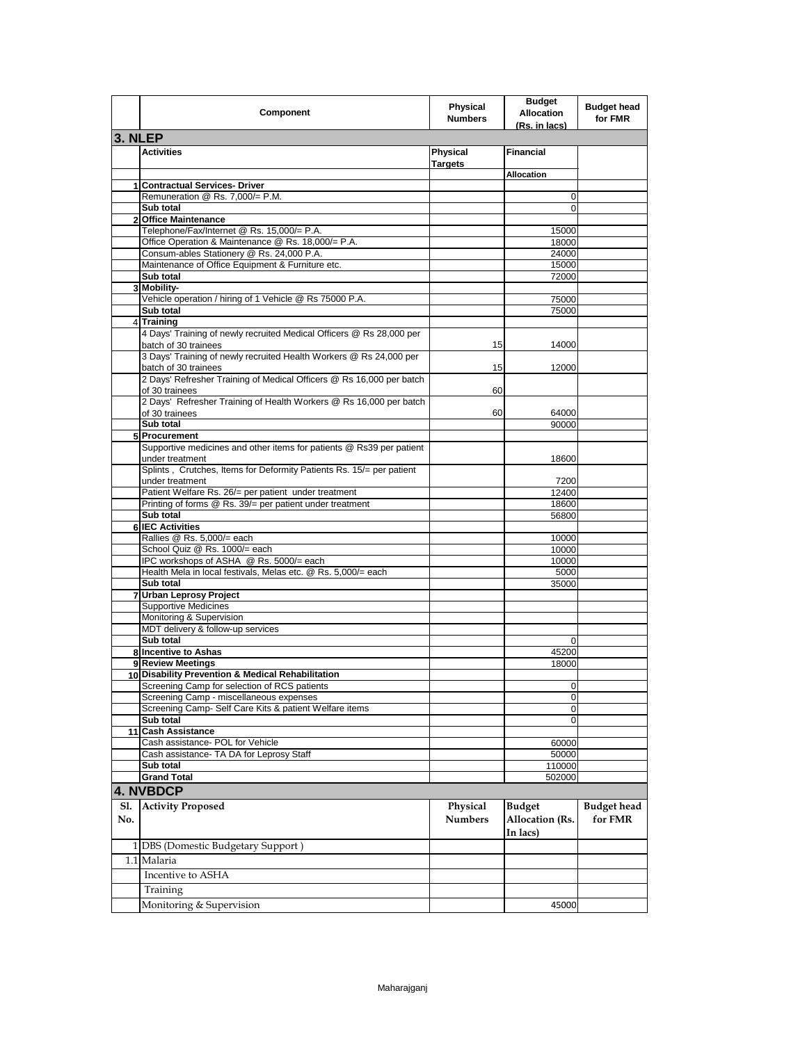|                | Component                                                                                  | Physical<br><b>Numbers</b> | <b>Budget</b><br><b>Allocation</b><br>(Rs. in lacs) | <b>Budget head</b><br>for FMR |
|----------------|--------------------------------------------------------------------------------------------|----------------------------|-----------------------------------------------------|-------------------------------|
| 3. NLEP        |                                                                                            |                            |                                                     |                               |
|                | <b>Activities</b>                                                                          | Physical<br><b>Targets</b> | <b>Financial</b>                                    |                               |
|                |                                                                                            |                            | <b>Allocation</b>                                   |                               |
|                | 1 Contractual Services- Driver                                                             |                            |                                                     |                               |
|                | Remuneration @ Rs. 7,000/= P.M.<br>Sub total                                               |                            | 0<br>0                                              |                               |
| $\overline{2}$ | <b>Office Maintenance</b>                                                                  |                            |                                                     |                               |
|                | Telephone/Fax/Internet @ Rs. 15,000/= P.A.                                                 |                            | 15000                                               |                               |
|                | Office Operation & Maintenance @ Rs. 18,000/= P.A.                                         |                            | 18000                                               |                               |
|                | Consum-ables Stationery @ Rs. 24,000 P.A.                                                  |                            | 24000                                               |                               |
|                | Maintenance of Office Equipment & Furniture etc.                                           |                            | 15000                                               |                               |
|                | Sub total<br>3 Mobility-                                                                   |                            | 72000                                               |                               |
|                | Vehicle operation / hiring of 1 Vehicle @ Rs 75000 P.A.                                    |                            | 75000                                               |                               |
|                | Sub total                                                                                  |                            | 75000                                               |                               |
|                | 4 Training                                                                                 |                            |                                                     |                               |
|                | 4 Days' Training of newly recruited Medical Officers @ Rs 28,000 per                       |                            |                                                     |                               |
|                | batch of 30 trainees                                                                       | 15                         | 14000                                               |                               |
|                | 3 Days' Training of newly recruited Health Workers @ Rs 24,000 per<br>batch of 30 trainees | 15                         | 12000                                               |                               |
|                | 2 Days' Refresher Training of Medical Officers @ Rs 16,000 per batch<br>of 30 trainees     | 60                         |                                                     |                               |
|                | 2 Days' Refresher Training of Health Workers @ Rs 16,000 per batch<br>of 30 trainees       | 60                         | 64000                                               |                               |
|                | Sub total                                                                                  |                            | 90000                                               |                               |
|                | 5 Procurement                                                                              |                            |                                                     |                               |
|                | Supportive medicines and other items for patients @ Rs39 per patient<br>under treatment    |                            | 18600                                               |                               |
|                | Splints, Crutches, Items for Deformity Patients Rs. 15/= per patient<br>under treatment    |                            | 7200                                                |                               |
|                | Patient Welfare Rs. 26/= per patient under treatment                                       |                            | 12400                                               |                               |
|                | Printing of forms @ Rs. 39/= per patient under treatment                                   |                            | 18600                                               |                               |
|                | Sub total                                                                                  |                            | 56800                                               |                               |
|                | <b>6 IEC Activities</b><br>Rallies @ Rs. 5,000/= each                                      |                            | 10000                                               |                               |
|                | School Quiz @ Rs. 1000/= each                                                              |                            | 10000                                               |                               |
|                | IPC workshops of ASHA @ Rs. 5000/= each                                                    |                            | 10000                                               |                               |
|                | Health Mela in local festivals, Melas etc. @ Rs. 5,000/= each                              |                            | 5000                                                |                               |
|                | Sub total                                                                                  |                            | 35000                                               |                               |
|                | 7 Urban Leprosy Project                                                                    |                            |                                                     |                               |
|                | <b>Supportive Medicines</b>                                                                |                            |                                                     |                               |
|                | Monitoring & Supervision<br>MDT delivery & follow-up services                              |                            |                                                     |                               |
|                | Sub total                                                                                  |                            | 0                                                   |                               |
|                | 8 Incentive to Ashas                                                                       |                            | 45200                                               |                               |
|                | 9 Review Meetings                                                                          |                            | 18000                                               |                               |
|                | 10 Disability Prevention & Medical Rehabilitation                                          |                            |                                                     |                               |
|                | Screening Camp for selection of RCS patients                                               |                            | U                                                   |                               |
|                | Screening Camp - miscellaneous expenses                                                    |                            | 0                                                   |                               |
|                | Screening Camp- Self Care Kits & patient Welfare items<br>Sub total                        |                            | 0<br>0                                              |                               |
|                | 11 Cash Assistance                                                                         |                            |                                                     |                               |
|                | Cash assistance- POL for Vehicle                                                           |                            | 60000                                               |                               |
|                | Cash assistance- TA DA for Leprosy Staff                                                   |                            | 50000                                               |                               |
|                | Sub total                                                                                  |                            | 110000                                              |                               |
|                | <b>Grand Total</b>                                                                         |                            | 502000                                              |                               |
|                | 4. NVBDCP                                                                                  |                            |                                                     |                               |
| Sl.<br>No.     | <b>Activity Proposed</b>                                                                   | Physical<br><b>Numbers</b> | <b>Budget</b><br><b>Allocation</b> (Rs.             | <b>Budget</b> head<br>for FMR |
|                | 1 DBS (Domestic Budgetary Support)                                                         |                            | In lacs)                                            |                               |
|                | 1.1 Malaria                                                                                |                            |                                                     |                               |
|                | Incentive to ASHA                                                                          |                            |                                                     |                               |
|                | Training                                                                                   |                            |                                                     |                               |
|                | Monitoring & Supervision                                                                   |                            | 45000                                               |                               |
|                |                                                                                            |                            |                                                     |                               |